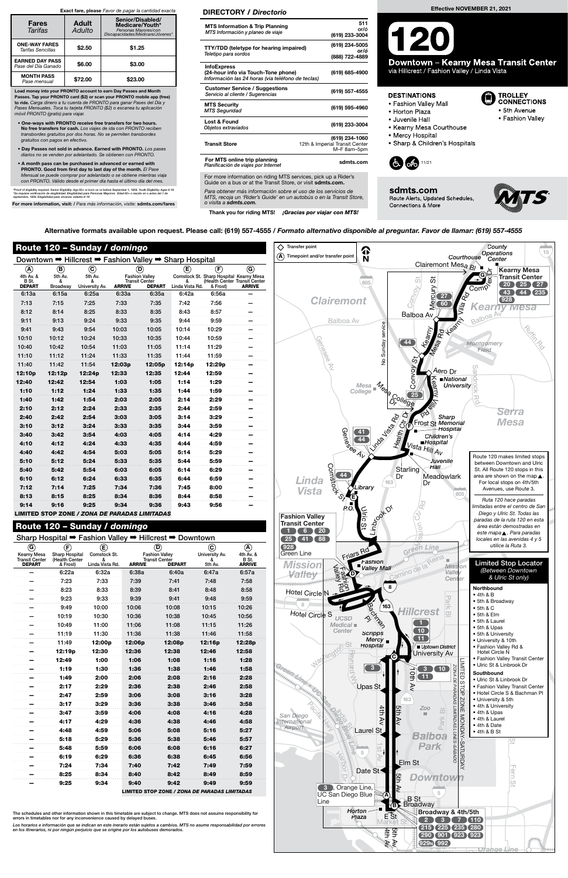| Route 120 - Sunday / domingo                           |                                      |                                     |               |                                                                                                      |        |                                                                                 |                                                     |  |  |  |  |  |
|--------------------------------------------------------|--------------------------------------|-------------------------------------|---------------|------------------------------------------------------------------------------------------------------|--------|---------------------------------------------------------------------------------|-----------------------------------------------------|--|--|--|--|--|
| Downtown → Hillcrest → Fashion Valley → Sharp Hospital |                                      |                                     |               |                                                                                                      |        |                                                                                 |                                                     |  |  |  |  |  |
| ◉<br>4th Av. &<br>B St.<br><b>DEPART</b>               | ®<br>5th Av.<br>&<br><b>Broadway</b> | C<br>5th Av.<br>&<br>University Av. | <b>ARRIVE</b> | œ)<br>(D)<br><b>Fashion Valley</b><br><b>Transit Center</b><br>&<br><b>DEPART</b><br>Linda Vista Rd. |        | $(\widehat{\mathbf{F}})$<br>Comstock St. Sharp Hospital Kearny Mesa<br>& Frost) | ⊚<br>(Health Center Transit Center<br><b>ARRIVE</b> |  |  |  |  |  |
| 6:13a                                                  | 6:15a                                | 6:25a                               | 6:33a         | 6:35a                                                                                                | 6:42a  | 6:56a                                                                           |                                                     |  |  |  |  |  |
| 7:13                                                   | 7:15                                 | 7:25                                | 7:33          | 7:35                                                                                                 | 7:42   | 7:56                                                                            |                                                     |  |  |  |  |  |
| 8:12                                                   | 8:14                                 | 8:25                                | 8:33          | 8:35                                                                                                 | 8:43   | 8:57                                                                            |                                                     |  |  |  |  |  |
| 9:11                                                   | 9:13                                 | 9:24                                | 9:33          | 9:35                                                                                                 | 9:44   | 9:59                                                                            |                                                     |  |  |  |  |  |
| 9:41                                                   | 9:43                                 | 9:54                                | 10:03         | 10:05                                                                                                | 10:14  | 10:29                                                                           |                                                     |  |  |  |  |  |
| 10:10                                                  | 10:12                                | 10:24                               | 10:33         | 10:35                                                                                                | 10:44  | 10:59                                                                           |                                                     |  |  |  |  |  |
| 10:40                                                  | 10:42                                | 10:54                               | 11:03         | 11:05                                                                                                | 11:14  | 11:29                                                                           |                                                     |  |  |  |  |  |
| 11:10                                                  | 11:12                                | 11:24                               | 11:33         | 11:35                                                                                                | 11:44  | 11:59                                                                           |                                                     |  |  |  |  |  |
| 11:40                                                  | 11:42                                | 11:54                               | 12:03p        | 12:05p                                                                                               | 12:14p | 12:29p                                                                          |                                                     |  |  |  |  |  |
| 12:10 <sub>p</sub>                                     | 12:12p                               | 12:24p                              | 12:33         | 12:35                                                                                                | 12:44  | 12:59                                                                           |                                                     |  |  |  |  |  |
| 12:40                                                  | 12:42                                | 12:54                               | 1:03          | 1:05                                                                                                 | 1:14   | 1:29                                                                            |                                                     |  |  |  |  |  |
| 1:10                                                   | 1:12                                 | 1:24                                | 1:33          | 1:35                                                                                                 | 1:44   | 1:59                                                                            |                                                     |  |  |  |  |  |
| 1:40                                                   | 1:42                                 | 1:54                                | 2:03          | 2:05                                                                                                 | 2:14   | 2:29                                                                            |                                                     |  |  |  |  |  |
| 2:10                                                   | 2:12                                 | 2:24                                | 2:33          | 2:35                                                                                                 | 2:44   | 2:59                                                                            |                                                     |  |  |  |  |  |
| 2:40                                                   | 2:42                                 | 2:54                                | 3:03          | 3:05                                                                                                 | 3:14   | 3:29                                                                            |                                                     |  |  |  |  |  |
| 3:10                                                   | 3:12                                 | 3:24                                | 3:33          | 3:35                                                                                                 | 3:44   | 3:59                                                                            |                                                     |  |  |  |  |  |
| 3:40                                                   | 3:42                                 | 3:54                                | 4:03          | 4:05                                                                                                 | 4:14   | 4:29                                                                            |                                                     |  |  |  |  |  |
| 4:10                                                   | 4:12                                 | 4:24                                | 4:33          | 4:35                                                                                                 | 4:44   | 4:59                                                                            |                                                     |  |  |  |  |  |
| 4:40                                                   | 4:42                                 | 4:54                                | 5:03          | 5:05                                                                                                 | 5:14   | 5:29                                                                            |                                                     |  |  |  |  |  |
| 5:10                                                   | 5:12                                 | 5:24                                | 5:33          | 5:35                                                                                                 | 5:44   | 5:59                                                                            |                                                     |  |  |  |  |  |
| 5:40                                                   | 5:42                                 | 5:54                                | 6:03          | 6:05                                                                                                 | 6:14   | 6:29                                                                            |                                                     |  |  |  |  |  |
| 6:10                                                   | 6:12                                 | 6:24                                | 6:33          | 6:35                                                                                                 | 6:44   | 6:59                                                                            |                                                     |  |  |  |  |  |
| 7:12                                                   | 7:14                                 | 7:25                                | 7:34          | 7:36                                                                                                 | 7:45   | 8:00                                                                            |                                                     |  |  |  |  |  |
| 8:13                                                   | 8:15                                 | 8:25                                | 8:34          | 8:36                                                                                                 | 8:44   | 8:58                                                                            |                                                     |  |  |  |  |  |
| 9:14                                                   | 9:16                                 | 9:25                                | 9:34          | 9:36                                                                                                 | 9:43   | 9:56                                                                            |                                                     |  |  |  |  |  |

LIMITED STOP ZONE / ZONA DE PARADAS LIMITADAS

| Sharp Hospital → Fashion Valley → Hillcrest →<br>Downtown |                                         |                      |                                    |                                                |                            |                    |  |  |  |  |  |
|-----------------------------------------------------------|-----------------------------------------|----------------------|------------------------------------|------------------------------------------------|----------------------------|--------------------|--|--|--|--|--|
| $^\copyright$                                             | (F)                                     | Œ,                   |                                    | $\circledcirc$                                 | $\left( \textbf{c}\right)$ | ®                  |  |  |  |  |  |
| <b>Kearny Mesa</b><br><b>Transit Center</b>               | <b>Sharp Hospital</b><br>(Health Center | Comstock St.         |                                    | <b>Fashion Valley</b><br><b>Transit Center</b> | University Av.             | 4th Av. &<br>B St. |  |  |  |  |  |
| <b>DEPART</b>                                             | & Frost)                                | &<br>Linda Vista Rd. | <b>ARRIVE</b>                      | <b>DEPART</b>                                  | &<br>5th Av.               | <b>ARRIVE</b>      |  |  |  |  |  |
|                                                           | 6:22a                                   | 6:32a                | 6:38a                              | 6:40a                                          | 6:47a                      | 6:57a              |  |  |  |  |  |
|                                                           | 7:23                                    | 7:33                 | 7:39                               | 7:41                                           | 7:48                       | 7:58               |  |  |  |  |  |
|                                                           | 8:23                                    | 8:33                 | 8:39<br>8:41                       |                                                | 8:48                       | 8:58               |  |  |  |  |  |
|                                                           | 9:23                                    | 9:33                 | 9:39                               | 9:41                                           | 9:48                       | 9:59               |  |  |  |  |  |
|                                                           | 9:49                                    | 10:00                | 10:06                              | 10:08                                          | 10:15                      | 10:26              |  |  |  |  |  |
|                                                           | 10:19                                   | 10:30                | 10:36                              | 10:38                                          | 10:45                      | 10:56              |  |  |  |  |  |
|                                                           | 10:49                                   | 11:00                | 11:06                              | 11:08                                          | 11:15                      | 11:26              |  |  |  |  |  |
|                                                           | 11:19                                   | 11:30                | 11:36                              | 11:38                                          | 11:46                      | 11:58              |  |  |  |  |  |
|                                                           | 11:49                                   | 12:00p               | 12:06p<br>12:08p<br>12:36<br>12:38 |                                                | 12:16p                     | 12:28p             |  |  |  |  |  |
|                                                           | 12:19p                                  | 12:30                |                                    |                                                | 12:46                      | 12:58              |  |  |  |  |  |
|                                                           | 12:49                                   | 1:00                 | 1:06                               | 1:08                                           | 1:16                       | 1:28               |  |  |  |  |  |
|                                                           | 1:19                                    | 1:30                 | 1:36                               | 1:38                                           | 1:46                       | 1:58               |  |  |  |  |  |
|                                                           | 1:49                                    | 2:00                 | 2:06                               | 2:08                                           | 2:16                       | 2:28               |  |  |  |  |  |
|                                                           | 2:17                                    | 2:29                 | 2:36                               | 2:38                                           | 2:46                       | 2:58               |  |  |  |  |  |
|                                                           | 2:47                                    | 2:59                 | 3:06                               | 3:08                                           | 3:16                       | 3:28               |  |  |  |  |  |
|                                                           | 3:17                                    | 3:29                 | 3:36                               | 3:38                                           | 3:46                       | 3:58               |  |  |  |  |  |
|                                                           | 3:47                                    | 3:59                 | 4:06                               | 4:08                                           | 4:16                       | 4:28               |  |  |  |  |  |
|                                                           | 4:17                                    | 4:29                 | 4:36                               | 4:38                                           | 4:46                       | 4:58               |  |  |  |  |  |
|                                                           | 4:48                                    | 4:59                 | 5:06                               | 5:08                                           | 5:16                       | 5:27               |  |  |  |  |  |
|                                                           | 5:18                                    | 5:29                 | 5:36                               | 5:38                                           | 5:46                       | 5:57               |  |  |  |  |  |
|                                                           | 5:48                                    | 5:59                 | 6:06                               | 6:08                                           | 6:16                       | 6:27               |  |  |  |  |  |
|                                                           | 6:19                                    | 6:29                 | 6:36                               | 6:38                                           | 6:45                       | 6:56               |  |  |  |  |  |
|                                                           | 7:24                                    | 7:34                 | 7:40                               | 7:42                                           | 7:49                       | 7:59               |  |  |  |  |  |
|                                                           | 8:25                                    | 8:34                 | 8:40                               | 8:42                                           | 8:49                       | 8:59               |  |  |  |  |  |
|                                                           | 9:25                                    | 9:34                 | 9:40                               | 9:42                                           | 9:49                       | 9:59               |  |  |  |  |  |
| LIMITED STOP ZONE / ZONA DE PARADAS LIMITADAS             |                                         |                      |                                    |                                                |                            |                    |  |  |  |  |  |

## Route 120 – Sunday / domingo

The schedules and other information shown in this timetable are subject to change. MTS does not assume responsibility for errors in timetables nor for any inconvenience caused by delayed buses.

Los horarios e información que se indican en este inerario están sujetos a cambios. MTS no asume responsabilidad por errores<br>en los itinerarios, ni por ningún perjuicio que se origine por los autobuses demorados.

For more information on riding MTS services, pick up a Rider's Guide on a bus or at the Transit Store, or visit sdmts.com.



Alternative formats available upon request. Please call: (619) 557-4555 / Formato alternativo disponible al preguntar. Favor de llamar: (619) 557-4555



**Downtown - Kearny Mesa Transit Center** via Hillcrest / Fashion Valley / Linda Vista

#### **DESTINATIONS**

- Fashion Valley Mall
- Horton Plaza
- · Juvenile Hall
- Kearny Mesa Courthouse
- Mercy Hospital
- Sharp & Children's Hospitals



sdmts.com Route Alerts, Updated Schedules, **Connections & More** 



**TROLLEY** 

**CONNECTIONS** 

• Fashion Valley

• 5th Avenue

Para obtener más información sobre el uso de los servicios de MTS, recoja un 'Rider's Guide' en un autobús o en la Transit Store, o visita a sdmts.com.

Thank you for riding MTS! ¡Gracias por viajar con MTS!

### DIRECTORY / Directorio

| <b>MTS Information &amp; Trip Planning</b><br>MTS Información y planeo de viaje                                | 511<br>or/ó<br>(619) 233-3004                                   |
|----------------------------------------------------------------------------------------------------------------|-----------------------------------------------------------------|
| <b>TTY/TDD (teletype for hearing impaired)</b><br>Teletipo para sordos                                         | (619) 234-5005<br>or/ó<br>(888) 722-4889                        |
| <b>InfoExpress</b><br>(24-hour info via Touch-Tone phone)<br>Información las 24 horas (via teléfono de teclas) | (619) 685-4900                                                  |
| <b>Customer Service / Suggestions</b><br>Servicio al cliente / Sugerencias                                     | (619) 557-4555                                                  |
| <b>MTS Security</b><br><b>MTS Seguridad</b>                                                                    | (619) 595-4960                                                  |
| Lost & Found<br>Objetos extraviados                                                                            | (619) 233-3004                                                  |
| <b>Transit Store</b>                                                                                           | (619) 234-1060<br>12th & Imperial Transit Center<br>M-F 8am-5pm |
| For MTS online trip planning<br>Planificación de viajes por Internet                                           | sdmts.com                                                       |

Load money into your PRONTO account to earn Day Passes and Month Passes. Tap your PRONTO card (\$2) or scan your PRONTO mobile app (free) to ride. Carga dinero a tu cuenta de PRONTO para ganar Pases del Día y Pases Mensuales. Toca tu tarjeta PRONTO (\$2) o escanea tu aplicación móvil PRONTO (gratis) para viajar.

- One-ways with PRONTO receive free transfers for two hours. No free transfers for cash. Los viajes de ida con PRONTO reciben transbordes gratuitos por dos horas. No se permiten transbordes gratuitos con pagos en efectivo.
- Day Passes not sold in advance. Earned with PRONTO. Los pases os no se venden por adelantado. Se obtienen con PRONTO.
- A month pass can be purchased in advanced or earned with PRONTO. Good from first day to last day of the month. El Pase Mensual se puede comprar por adelantado o se obtiene mientras viaja con PRONTO. Válido desde el primer día hasta el último día del mes.

\*Proof of eligibility required. Senior Eligibility: Age 65+ or born on or before September 1, 1959. Youth Eligibility: Ages 6-18<br>\*Se requiere verificación de elegibilidad. Elegibilidad para Personas Mayores: Edad 65+ o na

For more information, visit: / Para más información, visite: sdmts.com/fares

#### Exact fare, please Favor de pagar la cantidad exacta

| <b>Fares</b><br>Tarifas                       | <b>Adult</b><br>Adulto | Senior/Disabled/<br>Medicare/Youth*<br>Personas Mayores/con<br>Discapacidades/Medicare/Jóvenes* |
|-----------------------------------------------|------------------------|-------------------------------------------------------------------------------------------------|
| <b>ONE-WAY FARES</b><br>Tarifas Sencillas     | \$2.50                 | \$1.25                                                                                          |
| <b>EARNED DAY PASS</b><br>Pase del Día Ganado | \$6.00                 | \$3.00                                                                                          |
| <b>MONTH PASS</b><br>Pase mensual             | \$72.00                | \$23.00                                                                                         |